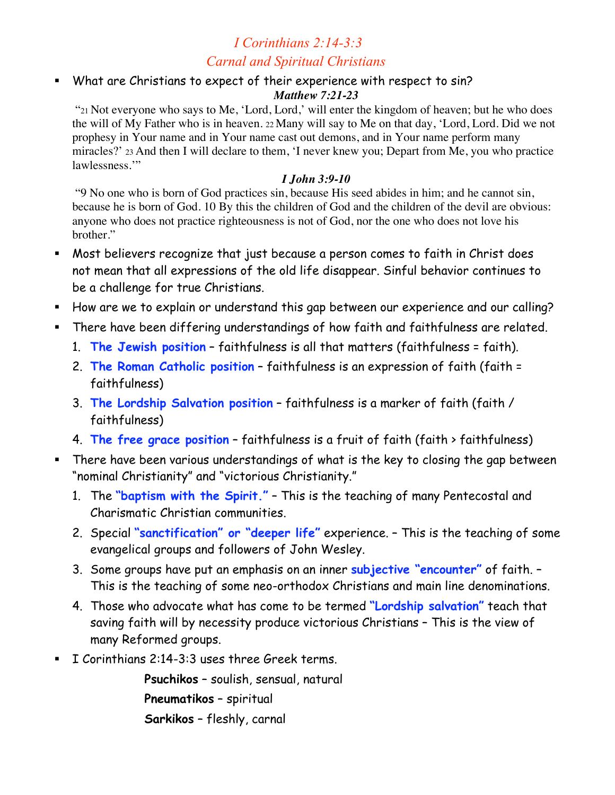# *I Corinthians 2:14-3:3 Carnal and Spiritual Christians*

 What are Christians to expect of their experience with respect to sin? *Matthew 7:21-23*

 "21 Not everyone who says to Me, 'Lord, Lord,' will enter the kingdom of heaven; but he who does the will of My Father who is in heaven. 22 Many will say to Me on that day, 'Lord, Lord. Did we not prophesy in Your name and in Your name cast out demons, and in Your name perform many miracles?' 23 And then I will declare to them, 'I never knew you; Depart from Me, you who practice lawlessness."

#### *I John 3:9-10*

 "9 No one who is born of God practices sin, because His seed abides in him; and he cannot sin, because he is born of God. 10 By this the children of God and the children of the devil are obvious: anyone who does not practice righteousness is not of God, nor the one who does not love his brother."

- Most believers recognize that just because a person comes to faith in Christ does not mean that all expressions of the old life disappear. Sinful behavior continues to be a challenge for true Christians.
- How are we to explain or understand this gap between our experience and our calling?
- There have been differing understandings of how faith and faithfulness are related.
	- 1. **The Jewish position** faithfulness is all that matters (faithfulness = faith).
	- 2. **The Roman Catholic position** faithfulness is an expression of faith (faith = faithfulness)
	- 3. **The Lordship Salvation position** faithfulness is a marker of faith (faith / faithfulness)
	- 4. **The free grace position** faithfulness is a fruit of faith (faith > faithfulness)
- There have been various understandings of what is the key to closing the gap between "nominal Christianity" and "victorious Christianity."
	- 1. The **"baptism with the Spirit."** This is the teaching of many Pentecostal and Charismatic Christian communities.
	- 2. Special **"sanctification" or "deeper life"** experience. This is the teaching of some evangelical groups and followers of John Wesley.
	- 3. Some groups have put an emphasis on an inner **subjective "encounter"** of faith. This is the teaching of some neo-orthodox Christians and main line denominations.
	- 4. Those who advocate what has come to be termed **"Lordship salvation"** teach that saving faith will by necessity produce victorious Christians – This is the view of many Reformed groups.
- I Corinthians 2:14-3:3 uses three Greek terms.

**Psuchikos** – soulish, sensual, natural **Pneumatikos** – spiritual **Sarkikos** – fleshly, carnal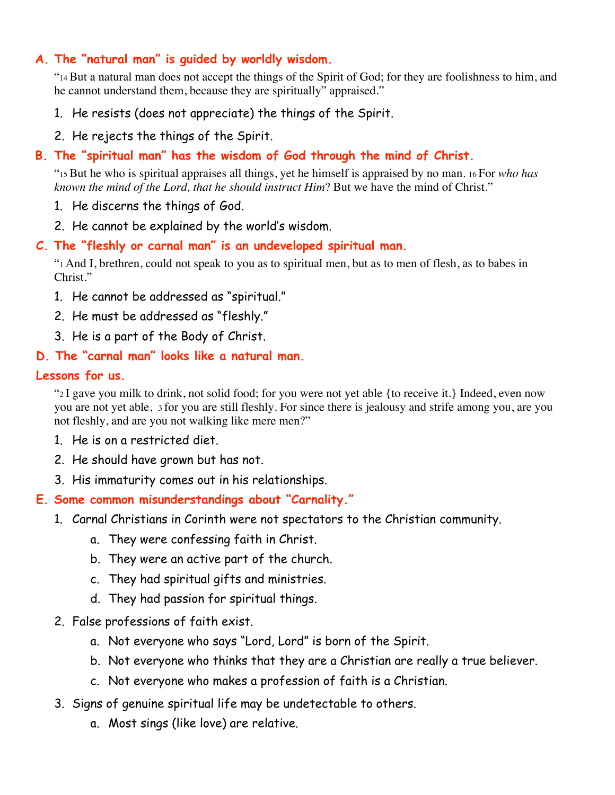### **A. The "natural man" is guided by worldly wisdom.**

"14 But a natural man does not accept the things of the Spirit of God; for they are foolishness to him, and he cannot understand them, because they are spiritually" appraised."

- 1. He resists (does not appreciate) the things of the Spirit.
- 2. He rejects the things of the Spirit.

## **B. The "spiritual man" has the wisdom of God through the mind of Christ.**

"15 But he who is spiritual appraises all things, yet he himself is appraised by no man. 16 For *who has known the mind of the Lord, that he should instruct Him*? But we have the mind of Christ."

- 1. He discerns the things of God.
- 2. He cannot be explained by the world's wisdom.

### **C. The "fleshly or carnal man" is an undeveloped spiritual man.**

"1 And I, brethren, could not speak to you as to spiritual men, but as to men of flesh, as to babes in Christ."

- 1. He cannot be addressed as "spiritual."
- 2. He must be addressed as "fleshly."
- 3. He is a part of the Body of Christ.

## **D. The "carnal man" looks like a natural man.**

#### **Lessons for us.**

"2 I gave you milk to drink, not solid food; for you were not yet able {to receive it.} Indeed, even now you are not yet able, 3 for you are still fleshly. For since there is jealousy and strife among you, are you not fleshly, and are you not walking like mere men?"

- 1. He is on a restricted diet.
- 2. He should have grown but has not.
- 3. His immaturity comes out in his relationships.
- **E. Some common misunderstandings about "Carnality."**
	- 1. Carnal Christians in Corinth were not spectators to the Christian community.
		- a. They were confessing faith in Christ.
		- b. They were an active part of the church.
		- c. They had spiritual gifts and ministries.
		- d. They had passion for spiritual things.
	- 2. False professions of faith exist.
		- a. Not everyone who says "Lord, Lord" is born of the Spirit.
		- b. Not everyone who thinks that they are a Christian are really a true believer.
		- c. Not everyone who makes a profession of faith is a Christian.
	- 3. Signs of genuine spiritual life may be undetectable to others.
		- a. Most sings (like love) are relative.